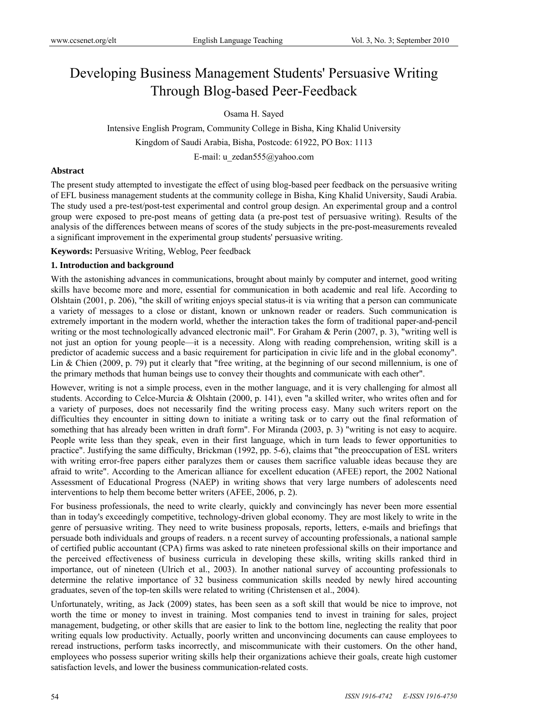# Developing Business Management Students' Persuasive Writing Through Blog-based Peer-Feedback

# Osama H. Sayed

# Intensive English Program, Community College in Bisha, King Khalid University Kingdom of Saudi Arabia, Bisha, Postcode: 61922, PO Box: 1113 E-mail: u\_zedan555@yahoo.com

# **Abstract**

The present study attempted to investigate the effect of using blog-based peer feedback on the persuasive writing of EFL business management students at the community college in Bisha, King Khalid University, Saudi Arabia. The study used a pre-test/post-test experimental and control group design. An experimental group and a control group were exposed to pre-post means of getting data (a pre-post test of persuasive writing). Results of the analysis of the differences between means of scores of the study subjects in the pre-post-measurements revealed a significant improvement in the experimental group students' persuasive writing.

**Keywords:** Persuasive Writing, Weblog, Peer feedback

# **1. Introduction and background**

With the astonishing advances in communications, brought about mainly by computer and internet, good writing skills have become more and more, essential for communication in both academic and real life. According to Olshtain (2001, p. 206), "the skill of writing enjoys special status-it is via writing that a person can communicate a variety of messages to a close or distant, known or unknown reader or readers. Such communication is extremely important in the modern world, whether the interaction takes the form of traditional paper-and-pencil writing or the most technologically advanced electronic mail". For Graham & Perin (2007, p. 3), "writing well is not just an option for young people—it is a necessity. Along with reading comprehension, writing skill is a predictor of academic success and a basic requirement for participation in civic life and in the global economy". Lin & Chien (2009, p. 79) put it clearly that "free writing, at the beginning of our second millennium, is one of the primary methods that human beings use to convey their thoughts and communicate with each other".

However, writing is not a simple process, even in the mother language, and it is very challenging for almost all students. According to Celce-Murcia & Olshtain (2000, p. 141), even "a skilled writer, who writes often and for a variety of purposes, does not necessarily find the writing process easy. Many such writers report on the difficulties they encounter in sitting down to initiate a writing task or to carry out the final reformation of something that has already been written in draft form". For Miranda (2003, p. 3) "writing is not easy to acquire. People write less than they speak, even in their first language, which in turn leads to fewer opportunities to practice". Justifying the same difficulty, Brickman (1992, pp. 5-6), claims that "the preoccupation of ESL writers with writing error-free papers either paralyzes them or causes them sacrifice valuable ideas because they are afraid to write". According to the American alliance for excellent education (AFEE) report, the 2002 National Assessment of Educational Progress (NAEP) in writing shows that very large numbers of adolescents need interventions to help them become better writers (AFEE, 2006, p. 2).

For business professionals, the need to write clearly, quickly and convincingly has never been more essential than in today's exceedingly competitive, technology-driven global economy. They are most likely to write in the genre of persuasive writing. They need to write business proposals, reports, letters, e-mails and briefings that persuade both individuals and groups of readers. n a recent survey of accounting professionals, a national sample of certified public accountant (CPA) firms was asked to rate nineteen professional skills on their importance and the perceived effectiveness of business curricula in developing these skills, writing skills ranked third in importance, out of nineteen (Ulrich et al., 2003). In another national survey of accounting professionals to determine the relative importance of 32 business communication skills needed by newly hired accounting graduates, seven of the top-ten skills were related to writing (Christensen et al., 2004).

Unfortunately, writing, as Jack (2009) states, has been seen as a soft skill that would be nice to improve, not worth the time or money to invest in training. Most companies tend to invest in training for sales, project management, budgeting, or other skills that are easier to link to the bottom line, neglecting the reality that poor writing equals low productivity. Actually, poorly written and unconvincing documents can cause employees to reread instructions, perform tasks incorrectly, and miscommunicate with their customers. On the other hand, employees who possess superior writing skills help their organizations achieve their goals, create high customer satisfaction levels, and lower the business communication-related costs.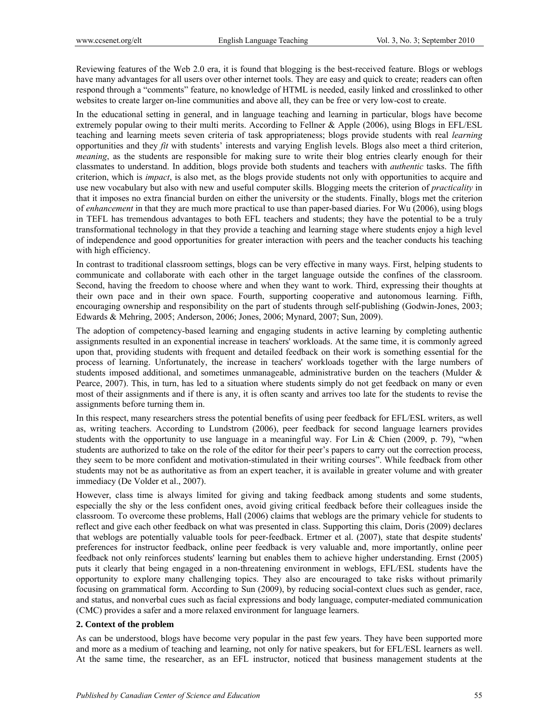Reviewing features of the Web 2.0 era, it is found that blogging is the best-received feature. Blogs or weblogs have many advantages for all users over other internet tools. They are easy and quick to create; readers can often respond through a "comments" feature, no knowledge of HTML is needed, easily linked and crosslinked to other websites to create larger on-line communities and above all, they can be free or very low-cost to create.

In the educational setting in general, and in language teaching and learning in particular, blogs have become extremely popular owing to their multi merits. According to Fellner & Apple (2006), using Blogs in EFL/ESL teaching and learning meets seven criteria of task appropriateness; blogs provide students with real *learning* opportunities and they *fit* with students' interests and varying English levels. Blogs also meet a third criterion, *meaning*, as the students are responsible for making sure to write their blog entries clearly enough for their classmates to understand. In addition, blogs provide both students and teachers with *authentic* tasks. The fifth criterion, which is *impact*, is also met, as the blogs provide students not only with opportunities to acquire and use new vocabulary but also with new and useful computer skills. Blogging meets the criterion of *practicality* in that it imposes no extra financial burden on either the university or the students. Finally, blogs met the criterion of *enhancement* in that they are much more practical to use than paper-based diaries. For Wu (2006), using blogs in TEFL has tremendous advantages to both EFL teachers and students; they have the potential to be a truly transformational technology in that they provide a teaching and learning stage where students enjoy a high level of independence and good opportunities for greater interaction with peers and the teacher conducts his teaching with high efficiency.

In contrast to traditional classroom settings, blogs can be very effective in many ways. First, helping students to communicate and collaborate with each other in the target language outside the confines of the classroom. Second, having the freedom to choose where and when they want to work. Third, expressing their thoughts at their own pace and in their own space. Fourth, supporting cooperative and autonomous learning. Fifth, encouraging ownership and responsibility on the part of students through self-publishing (Godwin-Jones, 2003; Edwards & Mehring, 2005; Anderson, 2006; Jones, 2006; Mynard, 2007; Sun, 2009).

The adoption of competency-based learning and engaging students in active learning by completing authentic assignments resulted in an exponential increase in teachers' workloads. At the same time, it is commonly agreed upon that, providing students with frequent and detailed feedback on their work is something essential for the process of learning. Unfortunately, the increase in teachers' workloads together with the large numbers of students imposed additional, and sometimes unmanageable, administrative burden on the teachers (Mulder & Pearce, 2007). This, in turn, has led to a situation where students simply do not get feedback on many or even most of their assignments and if there is any, it is often scanty and arrives too late for the students to revise the assignments before turning them in.

In this respect, many researchers stress the potential benefits of using peer feedback for EFL/ESL writers, as well as, writing teachers. According to Lundstrom (2006), peer feedback for second language learners provides students with the opportunity to use language in a meaningful way. For Lin & Chien (2009, p. 79), "when students are authorized to take on the role of the editor for their peer's papers to carry out the correction process, they seem to be more confident and motivation-stimulated in their writing courses". While feedback from other students may not be as authoritative as from an expert teacher, it is available in greater volume and with greater immediacy (De Volder et al., 2007).

However, class time is always limited for giving and taking feedback among students and some students, especially the shy or the less confident ones, avoid giving critical feedback before their colleagues inside the classroom. To overcome these problems, Hall (2006) claims that weblogs are the primary vehicle for students to reflect and give each other feedback on what was presented in class. Supporting this claim, Doris (2009) declares that weblogs are potentially valuable tools for peer-feedback. Ertmer et al. (2007), state that despite students' preferences for instructor feedback, online peer feedback is very valuable and, more importantly, online peer feedback not only reinforces students' learning but enables them to achieve higher understanding. Ernst (2005) puts it clearly that being engaged in a non-threatening environment in weblogs, EFL/ESL students have the opportunity to explore many challenging topics. They also are encouraged to take risks without primarily focusing on grammatical form. According to Sun (2009), by reducing social-context clues such as gender, race, and status, and nonverbal cues such as facial expressions and body language, computer-mediated communication (CMC) provides a safer and a more relaxed environment for language learners.

# **2. Context of the problem**

As can be understood, blogs have become very popular in the past few years. They have been supported more and more as a medium of teaching and learning, not only for native speakers, but for EFL/ESL learners as well. At the same time, the researcher, as an EFL instructor, noticed that business management students at the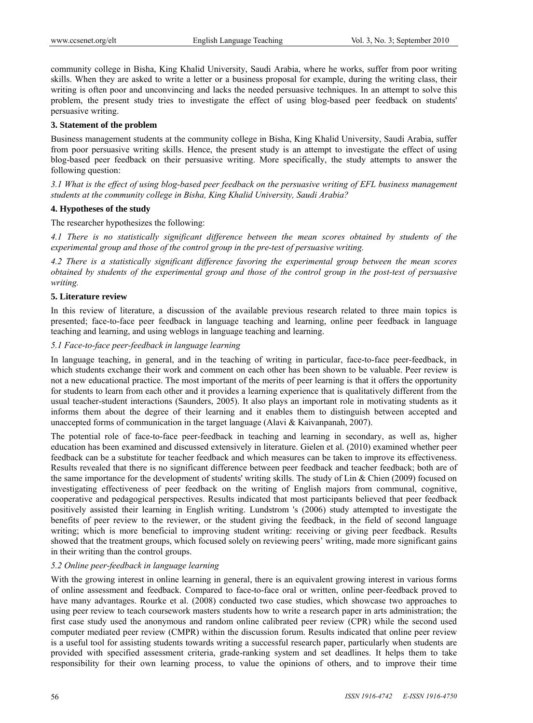community college in Bisha, King Khalid University, Saudi Arabia, where he works, suffer from poor writing skills. When they are asked to write a letter or a business proposal for example, during the writing class, their writing is often poor and unconvincing and lacks the needed persuasive techniques. In an attempt to solve this problem, the present study tries to investigate the effect of using blog-based peer feedback on students' persuasive writing.

#### **3. Statement of the problem**

Business management students at the community college in Bisha, King Khalid University, Saudi Arabia, suffer from poor persuasive writing skills. Hence, the present study is an attempt to investigate the effect of using blog-based peer feedback on their persuasive writing. More specifically, the study attempts to answer the following question:

*3.1 What is the effect of using blog-based peer feedback on the persuasive writing of EFL business management students at the community college in Bisha, King Khalid University, Saudi Arabia?* 

#### **4. Hypotheses of the study**

#### The researcher hypothesizes the following:

*4.1 There is no statistically significant difference between the mean scores obtained by students of the experimental group and those of the control group in the pre-test of persuasive writing.* 

*4.2 There is a statistically significant difference favoring the experimental group between the mean scores obtained by students of the experimental group and those of the control group in the post-test of persuasive writing.* 

#### **5. Literature review**

In this review of literature, a discussion of the available previous research related to three main topics is presented; face-to-face peer feedback in language teaching and learning, online peer feedback in language teaching and learning, and using weblogs in language teaching and learning.

#### *5.1 Face-to-face peer-feedback in language learning*

In language teaching, in general, and in the teaching of writing in particular, face-to-face peer-feedback, in which students exchange their work and comment on each other has been shown to be valuable. Peer review is not a new educational practice. The most important of the merits of peer learning is that it offers the opportunity for students to learn from each other and it provides a learning experience that is qualitatively different from the usual teacher-student interactions (Saunders, 2005). It also plays an important role in motivating students as it informs them about the degree of their learning and it enables them to distinguish between accepted and unaccepted forms of communication in the target language (Alavi & Kaivanpanah, 2007).

The potential role of face-to-face peer-feedback in teaching and learning in secondary, as well as, higher education has been examined and discussed extensively in literature. Gielen et al. (2010) examined whether peer feedback can be a substitute for teacher feedback and which measures can be taken to improve its effectiveness. Results revealed that there is no significant difference between peer feedback and teacher feedback; both are of the same importance for the development of students' writing skills. The study of Lin & Chien (2009) focused on investigating effectiveness of peer feedback on the writing of English majors from communal, cognitive, cooperative and pedagogical perspectives. Results indicated that most participants believed that peer feedback positively assisted their learning in English writing. Lundstrom 's (2006) study attempted to investigate the benefits of peer review to the reviewer, or the student giving the feedback, in the field of second language writing; which is more beneficial to improving student writing: receiving or giving peer feedback. Results showed that the treatment groups, which focused solely on reviewing peers' writing, made more significant gains in their writing than the control groups.

# *5.2 Online peer-feedback in language learning*

With the growing interest in online learning in general, there is an equivalent growing interest in various forms of online assessment and feedback. Compared to face-to-face oral or written, online peer-feedback proved to have many advantages. Rourke et al. (2008) conducted two case studies, which showcase two approaches to using peer review to teach coursework masters students how to write a research paper in arts administration; the first case study used the anonymous and random online calibrated peer review (CPR) while the second used computer mediated peer review (CMPR) within the discussion forum. Results indicated that online peer review is a useful tool for assisting students towards writing a successful research paper, particularly when students are provided with specified assessment criteria, grade-ranking system and set deadlines. It helps them to take responsibility for their own learning process, to value the opinions of others, and to improve their time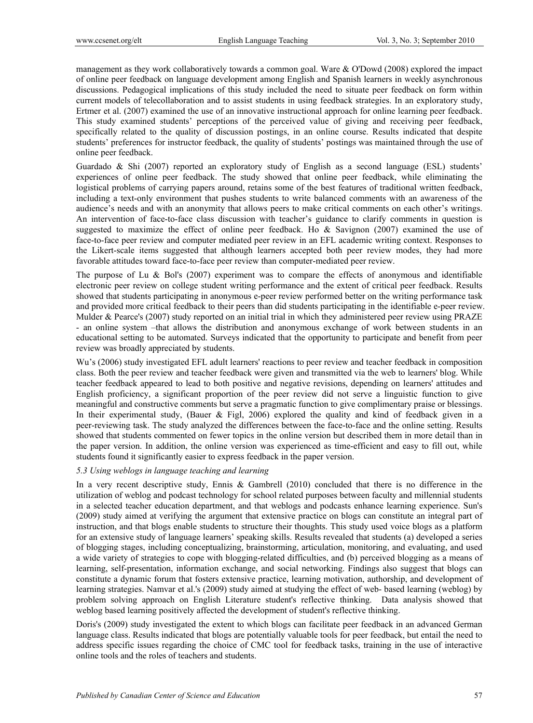management as they work collaboratively towards a common goal. Ware & O'Dowd (2008) explored the impact of online peer feedback on language development among English and Spanish learners in weekly asynchronous discussions. Pedagogical implications of this study included the need to situate peer feedback on form within current models of telecollaboration and to assist students in using feedback strategies. In an exploratory study, Ertmer et al. (2007) examined the use of an innovative instructional approach for online learning peer feedback. This study examined students' perceptions of the perceived value of giving and receiving peer feedback, specifically related to the quality of discussion postings, in an online course. Results indicated that despite students' preferences for instructor feedback, the quality of students' postings was maintained through the use of online peer feedback.

Guardado & Shi (2007) reported an exploratory study of English as a second language (ESL) students' experiences of online peer feedback. The study showed that online peer feedback, while eliminating the logistical problems of carrying papers around, retains some of the best features of traditional written feedback, including a text-only environment that pushes students to write balanced comments with an awareness of the audience's needs and with an anonymity that allows peers to make critical comments on each other's writings. An intervention of face-to-face class discussion with teacher's guidance to clarify comments in question is suggested to maximize the effect of online peer feedback. Ho  $\&$  Savignon (2007) examined the use of face-to-face peer review and computer mediated peer review in an EFL academic writing context. Responses to the Likert-scale items suggested that although learners accepted both peer review modes, they had more favorable attitudes toward face-to-face peer review than computer-mediated peer review.

The purpose of Lu & Bol's (2007) experiment was to compare the effects of anonymous and identifiable electronic peer review on college student writing performance and the extent of critical peer feedback. Results showed that students participating in anonymous e-peer review performed better on the writing performance task and provided more critical feedback to their peers than did students participating in the identifiable e-peer review. Mulder & Pearce's (2007) study reported on an initial trial in which they administered peer review using PRAZE - an online system –that allows the distribution and anonymous exchange of work between students in an educational setting to be automated. Surveys indicated that the opportunity to participate and benefit from peer review was broadly appreciated by students.

Wu's (2006) study investigated EFL adult learners' reactions to peer review and teacher feedback in composition class. Both the peer review and teacher feedback were given and transmitted via the web to learners' blog. While teacher feedback appeared to lead to both positive and negative revisions, depending on learners' attitudes and English proficiency, a significant proportion of the peer review did not serve a linguistic function to give meaningful and constructive comments but serve a pragmatic function to give complimentary praise or blessings. In their experimental study, (Bauer & Figl, 2006) explored the quality and kind of feedback given in a peer-reviewing task. The study analyzed the differences between the face-to-face and the online setting. Results showed that students commented on fewer topics in the online version but described them in more detail than in the paper version. In addition, the online version was experienced as time-efficient and easy to fill out, while students found it significantly easier to express feedback in the paper version.

# *5.3 Using weblogs in language teaching and learning*

In a very recent descriptive study, Ennis & Gambrell (2010) concluded that there is no difference in the utilization of weblog and podcast technology for school related purposes between faculty and millennial students in a selected teacher education department, and that weblogs and podcasts enhance learning experience. Sun's (2009) study aimed at verifying the argument that extensive practice on blogs can constitute an integral part of instruction, and that blogs enable students to structure their thoughts. This study used voice blogs as a platform for an extensive study of language learners' speaking skills. Results revealed that students (a) developed a series of blogging stages, including conceptualizing, brainstorming, articulation, monitoring, and evaluating, and used a wide variety of strategies to cope with blogging-related difficulties, and (b) perceived blogging as a means of learning, self-presentation, information exchange, and social networking. Findings also suggest that blogs can constitute a dynamic forum that fosters extensive practice, learning motivation, authorship, and development of learning strategies. Namvar et al.'s (2009) study aimed at studying the effect of web- based learning (weblog) by problem solving approach on English Literature student's reflective thinking. Data analysis showed that weblog based learning positively affected the development of student's reflective thinking.

Doris's (2009) study investigated the extent to which blogs can facilitate peer feedback in an advanced German language class. Results indicated that blogs are potentially valuable tools for peer feedback, but entail the need to address specific issues regarding the choice of CMC tool for feedback tasks, training in the use of interactive online tools and the roles of teachers and students.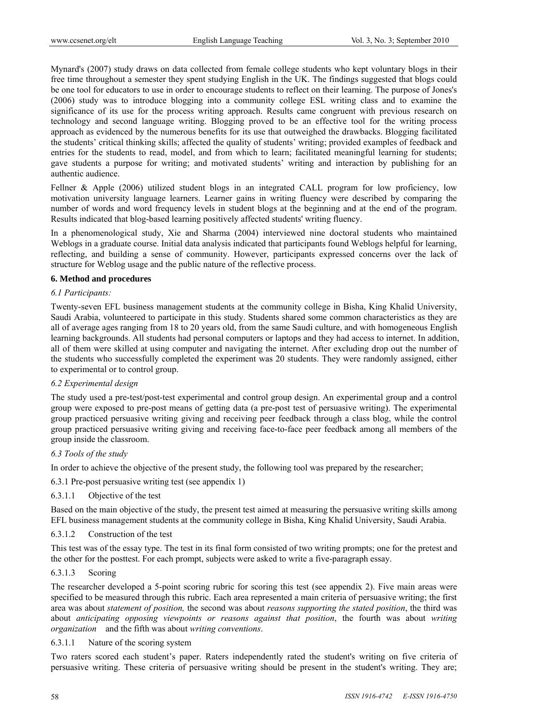Mynard's (2007) study draws on data collected from female college students who kept voluntary blogs in their free time throughout a semester they spent studying English in the UK. The findings suggested that blogs could be one tool for educators to use in order to encourage students to reflect on their learning. The purpose of Jones's (2006) study was to introduce blogging into a community college ESL writing class and to examine the significance of its use for the process writing approach. Results came congruent with previous research on technology and second language writing. Blogging proved to be an effective tool for the writing process approach as evidenced by the numerous benefits for its use that outweighed the drawbacks. Blogging facilitated the students' critical thinking skills; affected the quality of students' writing; provided examples of feedback and entries for the students to read, model, and from which to learn; facilitated meaningful learning for students; gave students a purpose for writing; and motivated students' writing and interaction by publishing for an authentic audience.

Fellner & Apple (2006) utilized student blogs in an integrated CALL program for low proficiency, low motivation university language learners. Learner gains in writing fluency were described by comparing the number of words and word frequency levels in student blogs at the beginning and at the end of the program. Results indicated that blog-based learning positively affected students' writing fluency.

In a phenomenological study, Xie and Sharma (2004) interviewed nine doctoral students who maintained Weblogs in a graduate course. Initial data analysis indicated that participants found Weblogs helpful for learning, reflecting, and building a sense of community. However, participants expressed concerns over the lack of structure for Weblog usage and the public nature of the reflective process.

#### **6. Method and procedures**

#### *6.1 Participants:*

Twenty-seven EFL business management students at the community college in Bisha, King Khalid University, Saudi Arabia, volunteered to participate in this study. Students shared some common characteristics as they are all of average ages ranging from 18 to 20 years old, from the same Saudi culture, and with homogeneous English learning backgrounds. All students had personal computers or laptops and they had access to internet. In addition, all of them were skilled at using computer and navigating the internet. After excluding drop out the number of the students who successfully completed the experiment was 20 students. They were randomly assigned, either to experimental or to control group.

# *6.2 Experimental design*

The study used a pre-test/post-test experimental and control group design. An experimental group and a control group were exposed to pre-post means of getting data (a pre-post test of persuasive writing). The experimental group practiced persuasive writing giving and receiving peer feedback through a class blog, while the control group practiced persuasive writing giving and receiving face-to-face peer feedback among all members of the group inside the classroom.

# *6.3 Tools of the study*

In order to achieve the objective of the present study, the following tool was prepared by the researcher;

6.3.1 Pre-post persuasive writing test (see appendix 1)

6.3.1.1 Objective of the test

Based on the main objective of the study, the present test aimed at measuring the persuasive writing skills among EFL business management students at the community college in Bisha, King Khalid University, Saudi Arabia.

# 6.3.1.2 Construction of the test

This test was of the essay type. The test in its final form consisted of two writing prompts; one for the pretest and the other for the posttest. For each prompt, subjects were asked to write a five-paragraph essay.

#### 6.3.1.3 Scoring

The researcher developed a 5-point scoring rubric for scoring this test (see appendix 2). Five main areas were specified to be measured through this rubric. Each area represented a main criteria of persuasive writing; the first area was about *statement of position,* the second was about *reasons supporting the stated position*, the third was about *anticipating opposing viewpoints or reasons against that position*, the fourth was about *writing organization* and the fifth was about *writing conventions*.

#### 6.3.1.1 Nature of the scoring system

Two raters scored each student's paper. Raters independently rated the student's writing on five criteria of persuasive writing. These criteria of persuasive writing should be present in the student's writing. They are;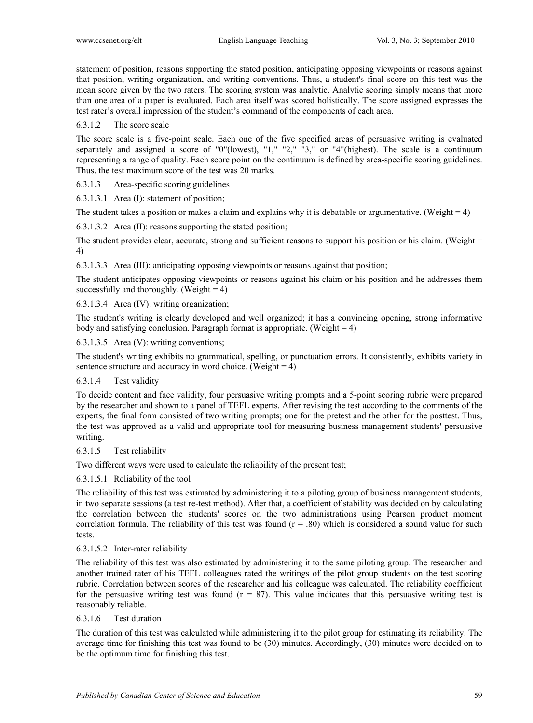statement of position, reasons supporting the stated position, anticipating opposing viewpoints or reasons against that position, writing organization, and writing conventions. Thus, a student's final score on this test was the mean score given by the two raters. The scoring system was analytic. Analytic scoring simply means that more than one area of a paper is evaluated. Each area itself was scored holistically. The score assigned expresses the test rater's overall impression of the student's command of the components of each area.

# 6.3.1.2 The score scale

The score scale is a five-point scale. Each one of the five specified areas of persuasive writing is evaluated separately and assigned a score of "0"(lowest), "1," "2," "3," or "4"(highest). The scale is a continuum representing a range of quality. Each score point on the continuum is defined by area-specific scoring guidelines. Thus, the test maximum score of the test was 20 marks.

6.3.1.3 Area-specific scoring guidelines

6.3.1.3.1 Area (I): statement of position;

The student takes a position or makes a claim and explains why it is debatable or argumentative. (Weight  $= 4$ )

6.3.1.3.2 Area (II): reasons supporting the stated position;

The student provides clear, accurate, strong and sufficient reasons to support his position or his claim. (Weight = 4)

6.3.1.3.3 Area (III): anticipating opposing viewpoints or reasons against that position;

The student anticipates opposing viewpoints or reasons against his claim or his position and he addresses them successfully and thoroughly. (Weight  $= 4$ )

6.3.1.3.4 Area (IV): writing organization;

The student's writing is clearly developed and well organized; it has a convincing opening, strong informative body and satisfying conclusion. Paragraph format is appropriate. (Weight  $= 4$ )

6.3.1.3.5 Area (V): writing conventions;

The student's writing exhibits no grammatical, spelling, or punctuation errors. It consistently, exhibits variety in sentence structure and accuracy in word choice. (Weight  $= 4$ )

# 6.3.1.4 Test validity

To decide content and face validity, four persuasive writing prompts and a 5-point scoring rubric were prepared by the researcher and shown to a panel of TEFL experts. After revising the test according to the comments of the experts, the final form consisted of two writing prompts; one for the pretest and the other for the posttest. Thus, the test was approved as a valid and appropriate tool for measuring business management students' persuasive writing.

# 6.3.1.5 Test reliability

Two different ways were used to calculate the reliability of the present test;

# 6.3.1.5.1 Reliability of the tool

The reliability of this test was estimated by administering it to a piloting group of business management students, in two separate sessions (a test re-test method). After that, a coefficient of stability was decided on by calculating the correlation between the students' scores on the two administrations using Pearson product moment correlation formula. The reliability of this test was found  $(r = .80)$  which is considered a sound value for such tests.

# 6.3.1.5.2 Inter-rater reliability

The reliability of this test was also estimated by administering it to the same piloting group. The researcher and another trained rater of his TEFL colleagues rated the writings of the pilot group students on the test scoring rubric. Correlation between scores of the researcher and his colleague was calculated. The reliability coefficient for the persuasive writing test was found  $(r = 87)$ . This value indicates that this persuasive writing test is reasonably reliable.

# 6.3.1.6 Test duration

The duration of this test was calculated while administering it to the pilot group for estimating its reliability. The average time for finishing this test was found to be (30) minutes. Accordingly, (30) minutes were decided on to be the optimum time for finishing this test.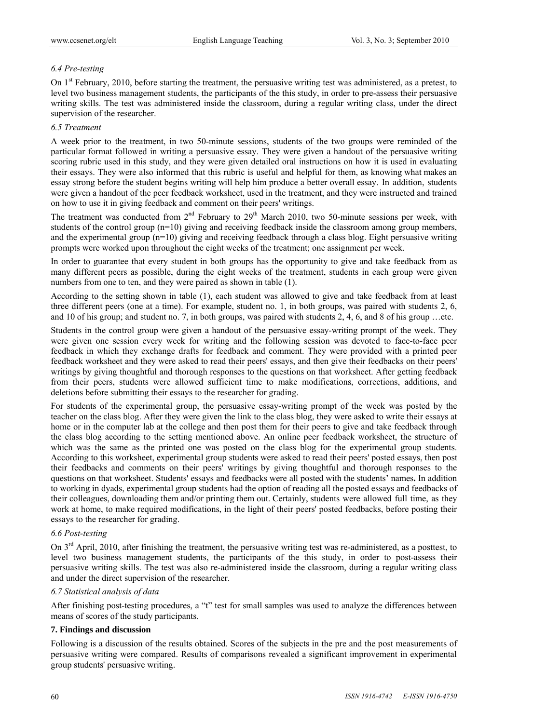# *6.4 Pre-testing*

On 1<sup>st</sup> February, 2010, before starting the treatment, the persuasive writing test was administered, as a pretest, to level two business management students, the participants of the this study, in order to pre-assess their persuasive writing skills. The test was administered inside the classroom, during a regular writing class, under the direct supervision of the researcher.

#### *6.5 Treatment*

A week prior to the treatment, in two 50-minute sessions, students of the two groups were reminded of the particular format followed in writing a persuasive essay. They were given a handout of the persuasive writing scoring rubric used in this study, and they were given detailed oral instructions on how it is used in evaluating their essays. They were also informed that this rubric is useful and helpful for them, as knowing what makes an essay strong before the student begins writing will help him produce a better overall essay. In addition, students were given a handout of the peer feedback worksheet, used in the treatment, and they were instructed and trained on how to use it in giving feedback and comment on their peers' writings.

The treatment was conducted from 2<sup>nd</sup> February to 29<sup>th</sup> March 2010, two 50-minute sessions per week, with students of the control group  $(n=10)$  giving and receiving feedback inside the classroom among group members, and the experimental group (n=10) giving and receiving feedback through a class blog. Eight persuasive writing prompts were worked upon throughout the eight weeks of the treatment; one assignment per week.

In order to guarantee that every student in both groups has the opportunity to give and take feedback from as many different peers as possible, during the eight weeks of the treatment, students in each group were given numbers from one to ten, and they were paired as shown in table (1).

According to the setting shown in table (1), each student was allowed to give and take feedback from at least three different peers (one at a time). For example, student no. 1, in both groups, was paired with students 2, 6, and 10 of his group; and student no. 7, in both groups, was paired with students 2, 4, 6, and 8 of his group …etc.

Students in the control group were given a handout of the persuasive essay-writing prompt of the week. They were given one session every week for writing and the following session was devoted to face-to-face peer feedback in which they exchange drafts for feedback and comment. They were provided with a printed peer feedback worksheet and they were asked to read their peers' essays, and then give their feedbacks on their peers' writings by giving thoughtful and thorough responses to the questions on that worksheet. After getting feedback from their peers, students were allowed sufficient time to make modifications, corrections, additions, and deletions before submitting their essays to the researcher for grading.

For students of the experimental group, the persuasive essay-writing prompt of the week was posted by the teacher on the class blog. After they were given the link to the class blog, they were asked to write their essays at home or in the computer lab at the college and then post them for their peers to give and take feedback through the class blog according to the setting mentioned above. An online peer feedback worksheet, the structure of which was the same as the printed one was posted on the class blog for the experimental group students. According to this worksheet, experimental group students were asked to read their peers' posted essays, then post their feedbacks and comments on their peers' writings by giving thoughtful and thorough responses to the questions on that worksheet. Students' essays and feedbacks were all posted with the students' names**.** In addition to working in dyads, experimental group students had the option of reading all the posted essays and feedbacks of their colleagues, downloading them and/or printing them out. Certainly, students were allowed full time, as they work at home, to make required modifications, in the light of their peers' posted feedbacks, before posting their essays to the researcher for grading.

## *6.6 Post-testing*

On 3<sup>rd</sup> April, 2010, after finishing the treatment, the persuasive writing test was re-administered, as a posttest, to level two business management students, the participants of the this study, in order to post-assess their persuasive writing skills. The test was also re-administered inside the classroom, during a regular writing class and under the direct supervision of the researcher.

# *6.7 Statistical analysis of data*

After finishing post-testing procedures, a "t" test for small samples was used to analyze the differences between means of scores of the study participants.

# **7. Findings and discussion**

Following is a discussion of the results obtained. Scores of the subjects in the pre and the post measurements of persuasive writing were compared. Results of comparisons revealed a significant improvement in experimental group students' persuasive writing.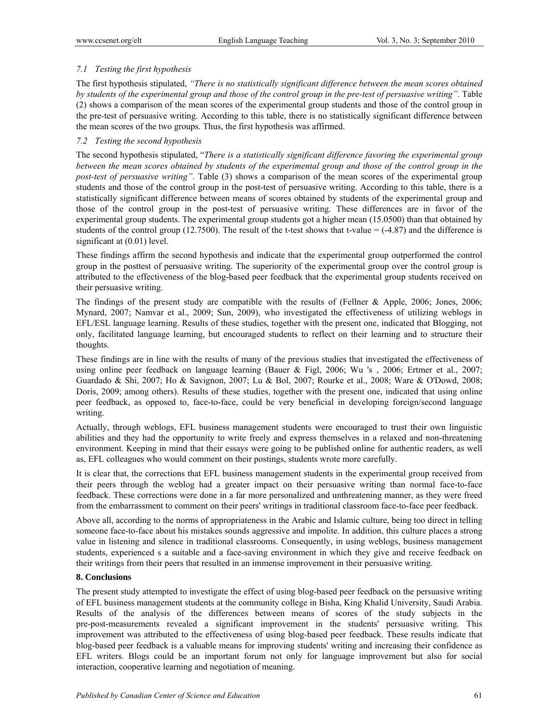# *7.1 Testing the first hypothesis*

The first hypothesis stipulated, *"There is no statistically significant difference between the mean scores obtained by students of the experimental group and those of the control group in the pre-test of persuasive writing"*. Table (2) shows a comparison of the mean scores of the experimental group students and those of the control group in the pre-test of persuasive writing. According to this table, there is no statistically significant difference between the mean scores of the two groups. Thus, the first hypothesis was affirmed.

# *7.2 Testing the second hypothesis*

The second hypothesis stipulated, "*There is a statistically significant difference favoring the experimental group between the mean scores obtained by students of the experimental group and those of the control group in the post-test of persuasive writing"*. Table (3) shows a comparison of the mean scores of the experimental group students and those of the control group in the post-test of persuasive writing. According to this table, there is a statistically significant difference between means of scores obtained by students of the experimental group and those of the control group in the post-test of persuasive writing. These differences are in favor of the experimental group students. The experimental group students got a higher mean (15.0500) than that obtained by students of the control group (12.7500). The result of the t-test shows that t-value  $=$  (-4.87) and the difference is significant at (0.01) level.

These findings affirm the second hypothesis and indicate that the experimental group outperformed the control group in the posttest of persuasive writing. The superiority of the experimental group over the control group is attributed to the effectiveness of the blog-based peer feedback that the experimental group students received on their persuasive writing.

The findings of the present study are compatible with the results of (Fellner & Apple, 2006; Jones, 2006; Mynard, 2007; Namvar et al., 2009; Sun, 2009), who investigated the effectiveness of utilizing weblogs in EFL/ESL language learning. Results of these studies, together with the present one, indicated that Blogging, not only, facilitated language learning, but encouraged students to reflect on their learning and to structure their thoughts.

These findings are in line with the results of many of the previous studies that investigated the effectiveness of using online peer feedback on language learning (Bauer & Figl, 2006; Wu 's , 2006; Ertmer et al., 2007; Guardado & Shi, 2007; Ho & Savignon, 2007; Lu & Bol, 2007; Rourke et al., 2008; Ware & O'Dowd, 2008; Doris, 2009; among others). Results of these studies, together with the present one, indicated that using online peer feedback, as opposed to, face-to-face, could be very beneficial in developing foreign/second language writing.

Actually, through weblogs, EFL business management students were encouraged to trust their own linguistic abilities and they had the opportunity to write freely and express themselves in a relaxed and non-threatening environment. Keeping in mind that their essays were going to be published online for authentic readers, as well as, EFL colleagues who would comment on their postings, students wrote more carefully.

It is clear that, the corrections that EFL business management students in the experimental group received from their peers through the weblog had a greater impact on their persuasive writing than normal face-to-face feedback. These corrections were done in a far more personalized and unthreatening manner, as they were freed from the embarrassment to comment on their peers' writings in traditional classroom face-to-face peer feedback.

Above all, according to the norms of appropriateness in the Arabic and Islamic culture, being too direct in telling someone face-to-face about his mistakes sounds aggressive and impolite. In addition, this culture places a strong value in listening and silence in traditional classrooms. Consequently, in using weblogs, business management students, experienced s a suitable and a face-saving environment in which they give and receive feedback on their writings from their peers that resulted in an immense improvement in their persuasive writing.

# **8. Conclusions**

The present study attempted to investigate the effect of using blog-based peer feedback on the persuasive writing of EFL business management students at the community college in Bisha, King Khalid University, Saudi Arabia. Results of the analysis of the differences between means of scores of the study subjects in the pre-post-measurements revealed a significant improvement in the students' persuasive writing. This improvement was attributed to the effectiveness of using blog-based peer feedback. These results indicate that blog-based peer feedback is a valuable means for improving students' writing and increasing their confidence as EFL writers. Blogs could be an important forum not only for language improvement but also for social interaction, cooperative learning and negotiation of meaning.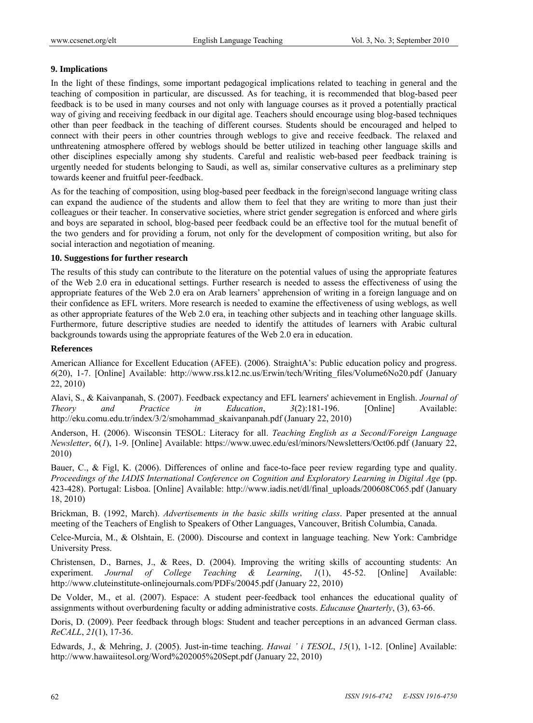# **9. Implications**

In the light of these findings, some important pedagogical implications related to teaching in general and the teaching of composition in particular, are discussed. As for teaching, it is recommended that blog-based peer feedback is to be used in many courses and not only with language courses as it proved a potentially practical way of giving and receiving feedback in our digital age. Teachers should encourage using blog-based techniques other than peer feedback in the teaching of different courses. Students should be encouraged and helped to connect with their peers in other countries through weblogs to give and receive feedback. The relaxed and unthreatening atmosphere offered by weblogs should be better utilized in teaching other language skills and other disciplines especially among shy students. Careful and realistic web-based peer feedback training is urgently needed for students belonging to Saudi, as well as, similar conservative cultures as a preliminary step towards keener and fruitful peer-feedback.

As for the teaching of composition, using blog-based peer feedback in the foreign\second language writing class can expand the audience of the students and allow them to feel that they are writing to more than just their colleagues or their teacher. In conservative societies, where strict gender segregation is enforced and where girls and boys are separated in school, blog-based peer feedback could be an effective tool for the mutual benefit of the two genders and for providing a forum, not only for the development of composition writing, but also for social interaction and negotiation of meaning.

#### **10. Suggestions for further research**

The results of this study can contribute to the literature on the potential values of using the appropriate features of the Web 2.0 era in educational settings. Further research is needed to assess the effectiveness of using the appropriate features of the Web 2.0 era on Arab learners' apprehension of writing in a foreign language and on their confidence as EFL writers. More research is needed to examine the effectiveness of using weblogs, as well as other appropriate features of the Web 2.0 era, in teaching other subjects and in teaching other language skills. Furthermore, future descriptive studies are needed to identify the attitudes of learners with Arabic cultural backgrounds towards using the appropriate features of the Web 2.0 era in education.

#### **References**

American Alliance for Excellent Education (AFEE). (2006). StraightA's: Public education policy and progress. *6*(20), 1-7. [Online] Available: http://www.rss.k12.nc.us/Erwin/tech/Writing\_files/Volume6No20.pdf (January 22, 2010)

Alavi, S., & Kaivanpanah, S. (2007). Feedback expectancy and EFL learners' achievement in English. *Journal of Theory and Practice in Education*, *3*(2):181-196. [Online] Available: http://eku.comu.edu.tr/index/3/2/smohammad\_skaivanpanah.pdf (January 22, 2010)

Anderson, H. (2006). Wisconsin TESOL: Literacy for all. *Teaching English as a Second/Foreign Language Newsletter*, 6(*1*), 1-9. [Online] Available: https://www.uwec.edu/esl/minors/Newsletters/Oct06.pdf (January 22, 2010)

Bauer, C., & Figl, K. (2006). Differences of online and face-to-face peer review regarding type and quality. *Proceedings of the IADIS International Conference on Cognition and Exploratory Learning in Digital Age* (pp. 423-428). Portugal: Lisboa. [Online] Available: http://www.iadis.net/dl/final\_uploads/200608C065.pdf (January 18, 2010)

Brickman, B. (1992, March). *Advertisements in the basic skills writing class*. Paper presented at the annual meeting of the Teachers of English to Speakers of Other Languages, Vancouver, British Columbia, Canada.

Celce-Murcia, M., & Olshtain, E. (2000). Discourse and context in language teaching. New York: Cambridge University Press.

Christensen, D., Barnes, J., & Rees, D. (2004). Improving the writing skills of accounting students: An experiment. *Journal of College Teaching & Learning*, *1*(1), 45-52. [Online] Available: http://www.cluteinstitute-onlinejournals.com/PDFs/20045.pdf (January 22, 2010)

De Volder, M., et al. (2007). Espace: A student peer-feedback tool enhances the educational quality of assignments without overburdening faculty or adding administrative costs. *Educause Quarterly*, (3), 63-66.

Doris, D. (2009). Peer feedback through blogs: Student and teacher perceptions in an advanced German class. *ReCALL*, *21*(1), 17-36.

Edwards, J., & Mehring, J. (2005). Just-in-time teaching. *Hawai ' i TESOL*, *15*(1), 1-12. [Online] Available: http://www.hawaiitesol.org/Word%202005%20Sept.pdf (January 22, 2010)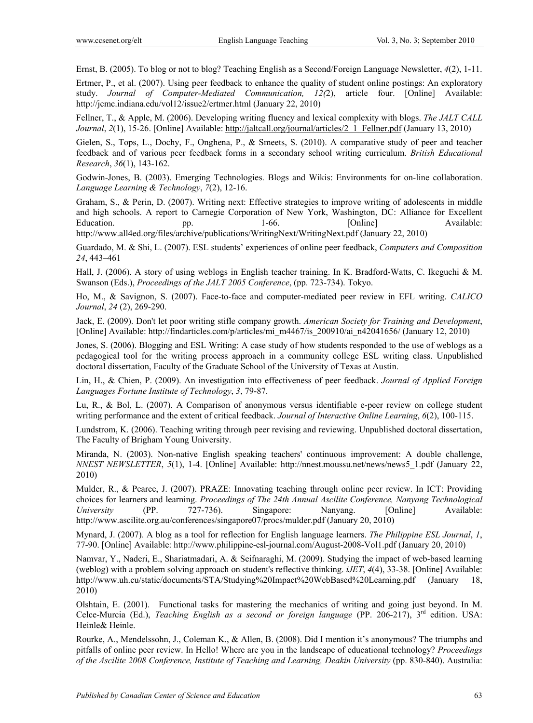Ernst, B. (2005). To blog or not to blog? Teaching English as a Second/Foreign Language Newsletter, *4*(2), 1-11.

Ertmer, P., et al. (2007). Using peer feedback to enhance the quality of student online postings: An exploratory study. *Journal of Computer-Mediated Communication, 12(*2), article four. [Online] Available: http://jcmc.indiana.edu/vol12/issue2/ertmer.html (January 22, 2010)

Fellner, T., & Apple, M. (2006). Developing writing fluency and lexical complexity with blogs. *The JALT CALL Journal*, *2*(1), 15-26. [Online] Available: http://jaltcall.org/journal/articles/2\_1\_Fellner.pdf (January 13, 2010)

Gielen, S., Tops, L., Dochy, F., Onghena, P., & Smeets, S. (2010). A comparative study of peer and teacher feedback and of various peer feedback forms in a secondary school writing curriculum. *British Educational Research*, *36*(1), 143-162.

Godwin-Jones, B. (2003). Emerging Technologies. Blogs and Wikis: Environments for on-line collaboration. *Language Learning & Technology*, *7*(2), 12-16.

Graham, S., & Perin, D. (2007). Writing next: Effective strategies to improve writing of adolescents in middle and high schools. A report to Carnegie Corporation of New York, Washington, DC: Alliance for Excellent Education. pp. 1-66. [Online] Available: http://www.all4ed.org/files/archive/publications/WritingNext/WritingNext.pdf (January 22, 2010)

Guardado, M. & Shi, L. (2007). ESL students' experiences of online peer feedback, *Computers and Composition 24*, 443–461

Hall, J. (2006). A story of using weblogs in English teacher training. In K. Bradford-Watts, C. Ikeguchi & M. Swanson (Eds.), *Proceedings of the JALT 2005 Conference*, (pp. 723-734). Tokyo.

Ho, M., & Savignon, S. (2007). Face-to-face and computer-mediated peer review in EFL writing. *CALICO Journal*, *24* (2), 269-290.

Jack, E. (2009). Don't let poor writing stifle company growth. *American Society for Training and Development*, [Online] Available: http://findarticles.com/p/articles/mi\_m4467/is\_200910/ai\_n42041656/ (January 12, 2010)

Jones, S. (2006). Blogging and ESL Writing: A case study of how students responded to the use of weblogs as a pedagogical tool for the writing process approach in a community college ESL writing class. Unpublished doctoral dissertation, Faculty of the Graduate School of the University of Texas at Austin.

Lin, H., & Chien, P. (2009). An investigation into effectiveness of peer feedback. *Journal of Applied Foreign Languages Fortune Institute of Technology*, *3*, 79-87.

Lu, R., & Bol, L. (2007). A Comparison of anonymous versus identifiable e-peer review on college student writing performance and the extent of critical feedback. *Journal of Interactive Online Learning*, *6*(2), 100-115.

Lundstrom, K. (2006). Teaching writing through peer revising and reviewing. Unpublished doctoral dissertation, The Faculty of Brigham Young University.

Miranda, N. (2003). Non-native English speaking teachers' continuous improvement: A double challenge, *NNEST NEWSLETTER*, *5*(1), 1-4. [Online] Available: http://nnest.moussu.net/news/news5\_1.pdf (January 22, 2010)

Mulder, R., & Pearce, J. (2007). PRAZE: Innovating teaching through online peer review. In ICT: Providing choices for learners and learning. *Proceedings of The 24th Annual Ascilite Conference, Nanyang Technological University* (PP. 727-736). Singapore: Nanyang. [Online] Available: http://www.ascilite.org.au/conferences/singapore07/procs/mulder.pdf (January 20, 2010)

Mynard, J. (2007). A blog as a tool for reflection for English language learners. *The Philippine ESL Journal*, *1*, 77-90. [Online] Available: http://www.philippine-esl-journal.com/August-2008-Vol1.pdf (January 20, 2010)

Namvar, Y., Naderi, E., Shariatmadari, A. & Seifnaraghi, M. (2009). Studying the impact of web-based learning (weblog) with a problem solving approach on student's reflective thinking. *iJET*, *4*(4), 33-38. [Online] Available: http://www.uh.cu/static/documents/STA/Studying%20Impact%20WebBased%20Learning.pdf (January 18, 2010)

Olshtain, E. (2001). Functional tasks for mastering the mechanics of writing and going just beyond. In M. Celce-Murcia (Ed.), *Teaching English as a second or foreign language* (PP. 206-217), 3rd edition. USA: Heinle& Heinle.

Rourke, A., Mendelssohn, J., Coleman K., & Allen, B. (2008). Did I mention it's anonymous? The triumphs and pitfalls of online peer review. In Hello! Where are you in the landscape of educational technology? *Proceedings of the Ascilite 2008 Conference, Institute of Teaching and Learning, Deakin University* (pp. 830-840). Australia: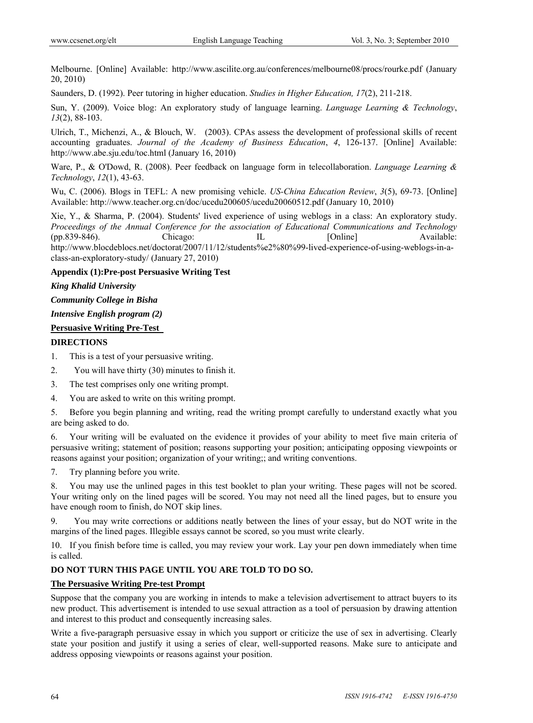Melbourne. [Online] Available: http://www.ascilite.org.au/conferences/melbourne08/procs/rourke.pdf (January 20, 2010)

Saunders, D. (1992). Peer tutoring in higher education. *Studies in Higher Education, 17*(2), 211-218.

Sun, Y. (2009). Voice blog: An exploratory study of language learning. *Language Learning & Technology*, *13*(2), 88-103.

Ulrich, T., Michenzi, A., & Blouch, W. (2003). CPAs assess the development of professional skills of recent accounting graduates. *Journal of the Academy of Business Education*, *4*, 126-137. [Online] Available: http://www.abe.sju.edu/toc.html (January 16, 2010)

Ware, P., & O'Dowd, R. (2008). Peer feedback on language form in telecollaboration. *Language Learning & Technology*, *12*(1), 43-63.

Wu, C. (2006). Blogs in TEFL: A new promising vehicle. *US-China Education Review*, *3*(5), 69-73. [Online] Available: http://www.teacher.org.cn/doc/ucedu200605/ucedu20060512.pdf (January 10, 2010)

Xie, Y., & Sharma, P. (2004). Students' lived experience of using weblogs in a class: An exploratory study. *Proceedings of the Annual Conference for the association of Educational Communications and Technology* (pp.839-846). Chicago: IL [Online] Available: http://www.blocdeblocs.net/doctorat/2007/11/12/students%e2%80%99-lived-experience-of-using-weblogs-in-aclass-an-exploratory-study/ (January 27, 2010)

# **Appendix (1):Pre-post Persuasive Writing Test**

# *King Khalid University*

*Community College in Bisha*

# *Intensive English program (2)*

# **Persuasive Writing Pre-Test**

# **DIRECTIONS**

- 1. This is a test of your persuasive writing.
- 2. You will have thirty (30) minutes to finish it.
- 3. The test comprises only one writing prompt.
- 4. You are asked to write on this writing prompt.

5. Before you begin planning and writing, read the writing prompt carefully to understand exactly what you are being asked to do.

6. Your writing will be evaluated on the evidence it provides of your ability to meet five main criteria of persuasive writing; statement of position; reasons supporting your position; anticipating opposing viewpoints or reasons against your position; organization of your writing;; and writing conventions.

7. Try planning before you write.

8. You may use the unlined pages in this test booklet to plan your writing. These pages will not be scored. Your writing only on the lined pages will be scored. You may not need all the lined pages, but to ensure you have enough room to finish, do NOT skip lines.

9. You may write corrections or additions neatly between the lines of your essay, but do NOT write in the margins of the lined pages. Illegible essays cannot be scored, so you must write clearly.

10. If you finish before time is called, you may review your work. Lay your pen down immediately when time is called.

# **DO NOT TURN THIS PAGE UNTIL YOU ARE TOLD TO DO SO.**

# **The Persuasive Writing Pre-test Prompt**

Suppose that the company you are working in intends to make a television advertisement to attract buyers to its new product. This advertisement is intended to use sexual attraction as a tool of persuasion by drawing attention and interest to this product and consequently increasing sales.

Write a five-paragraph persuasive essay in which you support or criticize the use of sex in advertising. Clearly state your position and justify it using a series of clear, well-supported reasons. Make sure to anticipate and address opposing viewpoints or reasons against your position.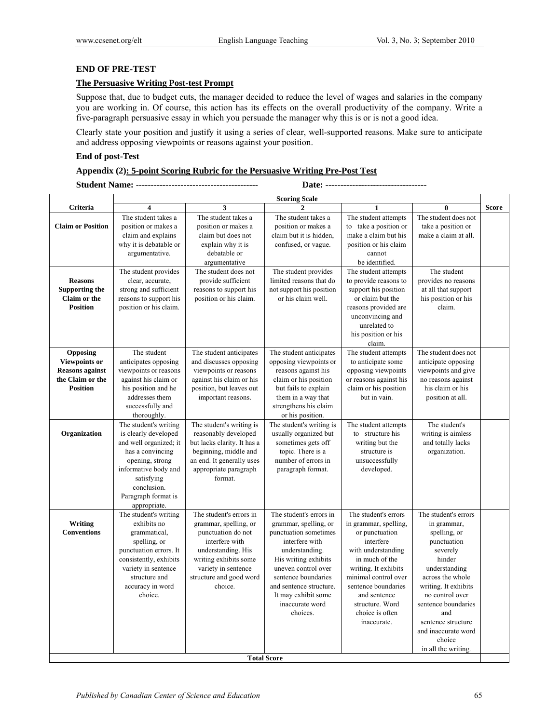# **END OF PRE-TEST**

## **The Persuasive Writing Post-test Prompt**

Suppose that, due to budget cuts, the manager decided to reduce the level of wages and salaries in the company you are working in. Of course, this action has its effects on the overall productivity of the company. Write a five-paragraph persuasive essay in which you persuade the manager why this is or is not a good idea.

Clearly state your position and justify it using a series of clear, well-supported reasons. Make sure to anticipate and address opposing viewpoints or reasons against your position.

#### **End of post-Test**

#### **Appendix (2): 5-point Scoring Rubric for the Persuasive Writing Pre-Post Test**

**Student Name:** ----------------------------------------- **Date:** ----------------------------------

|                                                                                                   | <b>Scoring Scale</b>                                                                                                                                                                                       |                                                                                                                                                                                                      |                                                                                                                                                                                                                                                                      |                                                                                                                                                                                                                                                                  |                                                                                                                                                                                                                                                               |              |  |
|---------------------------------------------------------------------------------------------------|------------------------------------------------------------------------------------------------------------------------------------------------------------------------------------------------------------|------------------------------------------------------------------------------------------------------------------------------------------------------------------------------------------------------|----------------------------------------------------------------------------------------------------------------------------------------------------------------------------------------------------------------------------------------------------------------------|------------------------------------------------------------------------------------------------------------------------------------------------------------------------------------------------------------------------------------------------------------------|---------------------------------------------------------------------------------------------------------------------------------------------------------------------------------------------------------------------------------------------------------------|--------------|--|
| Criteria                                                                                          | $\overline{\mathbf{4}}$                                                                                                                                                                                    | 3                                                                                                                                                                                                    | $\overline{\mathcal{L}}$                                                                                                                                                                                                                                             | 1                                                                                                                                                                                                                                                                | $\bf{0}$                                                                                                                                                                                                                                                      | <b>Score</b> |  |
| <b>Claim or Position</b>                                                                          | The student takes a<br>position or makes a<br>claim and explains<br>why it is debatable or<br>argumentative.                                                                                               | The student takes a<br>position or makes a<br>claim but does not<br>explain why it is<br>debatable or<br>argumentative                                                                               | The student takes a<br>position or makes a<br>claim but it is hidden,<br>confused, or vague.                                                                                                                                                                         | The student attempts<br>to take a position or<br>make a claim but his<br>position or his claim<br>cannot<br>be identified.                                                                                                                                       | The student does not<br>take a position or<br>make a claim at all.                                                                                                                                                                                            |              |  |
| <b>Reasons</b><br>Supporting the<br><b>Claim or the</b><br><b>Position</b>                        | The student provides<br>clear, accurate,<br>strong and sufficient<br>reasons to support his<br>position or his claim.                                                                                      | The student does not<br>provide sufficient<br>reasons to support his<br>position or his claim.                                                                                                       | The student provides<br>limited reasons that do<br>not support his position<br>or his claim well.                                                                                                                                                                    | The student attempts<br>to provide reasons to<br>support his position<br>or claim but the<br>reasons provided are<br>unconvincing and<br>unrelated to<br>his position or his<br>claim.                                                                           | The student<br>provides no reasons<br>at all that support<br>his position or his<br>claim.                                                                                                                                                                    |              |  |
| Opposing<br><b>Viewpoints or</b><br><b>Reasons against</b><br>the Claim or the<br><b>Position</b> | The student<br>anticipates opposing<br>viewpoints or reasons<br>against his claim or<br>his position and he<br>addresses them<br>successfully and<br>thoroughly.                                           | The student anticipates<br>and discusses opposing<br>viewpoints or reasons<br>against his claim or his<br>position, but leaves out<br>important reasons.                                             | The student anticipates<br>opposing viewpoints or<br>reasons against his<br>claim or his position<br>but fails to explain<br>them in a way that<br>strengthens his claim<br>or his position.                                                                         | The student attempts<br>to anticipate some<br>opposing viewpoints<br>or reasons against his<br>claim or his position<br>but in vain.                                                                                                                             | The student does not<br>anticipate opposing<br>viewpoints and give<br>no reasons against<br>his claim or his<br>position at all.                                                                                                                              |              |  |
| Organization                                                                                      | The student's writing<br>is clearly developed<br>and well organized; it<br>has a convincing<br>opening, strong<br>informative body and<br>satisfying<br>conclusion.<br>Paragraph format is<br>appropriate. | The student's writing is<br>reasonably developed<br>but lacks clarity. It has a<br>beginning, middle and<br>an end. It generally uses<br>appropriate paragraph<br>format.                            | The student's writing is<br>usually organized but<br>sometimes gets off<br>topic. There is a<br>number of errors in<br>paragraph format.                                                                                                                             | The student attempts<br>to structure his<br>writing but the<br>structure is<br>unsuccessfully<br>developed.                                                                                                                                                      | The student's<br>writing is aimless<br>and totally lacks<br>organization.                                                                                                                                                                                     |              |  |
| Writing<br><b>Conventions</b>                                                                     | The student's writing<br>exhibits no<br>grammatical,<br>spelling, or<br>punctuation errors. It<br>consistently, exhibits<br>variety in sentence<br>structure and<br>accuracy in word<br>choice.            | The student's errors in<br>grammar, spelling, or<br>punctuation do not<br>interfere with<br>understanding. His<br>writing exhibits some<br>variety in sentence<br>structure and good word<br>choice. | The student's errors in<br>grammar, spelling, or<br>punctuation sometimes<br>interfere with<br>understanding.<br>His writing exhibits<br>uneven control over<br>sentence boundaries<br>and sentence structure.<br>It may exhibit some<br>inaccurate word<br>choices. | The student's errors<br>in grammar, spelling,<br>or punctuation<br>interfere<br>with understanding<br>in much of the<br>writing. It exhibits<br>minimal control over<br>sentence boundaries<br>and sentence<br>structure. Word<br>choice is often<br>inaccurate. | The student's errors<br>in grammar,<br>spelling, or<br>punctuation<br>severely<br>hinder<br>understanding<br>across the whole<br>writing. It exhibits<br>no control over<br>sentence boundaries<br>and<br>sentence structure<br>and inaccurate word<br>choice |              |  |
| in all the writing.<br><b>Total Score</b>                                                         |                                                                                                                                                                                                            |                                                                                                                                                                                                      |                                                                                                                                                                                                                                                                      |                                                                                                                                                                                                                                                                  |                                                                                                                                                                                                                                                               |              |  |

*Published by Canadian Center of Science and Education* 65